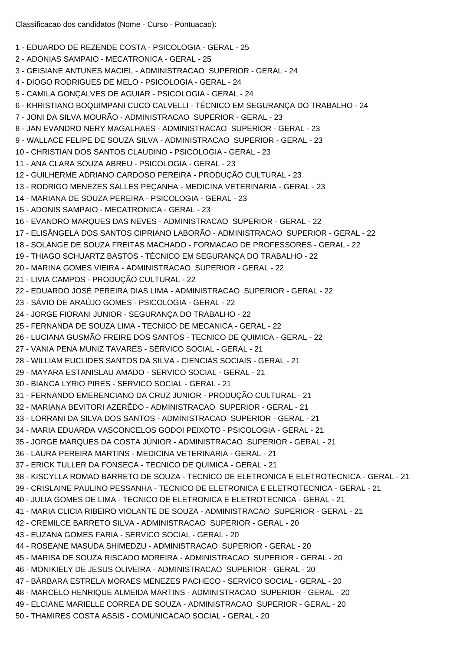Classificacao dos candidatos (Nome - Curso - Pontuacao):

- 1 EDUARDO DE REZENDE COSTA PSICOLOGIA GERAL 25
- 2 ADONIAS SAMPAIO MECATRONICA GERAL 25
- 3 GEISIANE ANTUNES MACIEL ADMINISTRACAO SUPERIOR GERAL 24
- 4 DIOGO RODRIGUES DE MELO PSICOLOGIA GERAL 24
- 5 CAMILA GONÇALVES DE AGUIAR PSICOLOGIA GERAL 24
- 6 KHRISTIANO BOQUIMPANI CUCO CALVELLI TÉCNICO EM SEGURANÇA DO TRABALHO 24
- 7 JONI DA SILVA MOURÃO ADMINISTRACAO SUPERIOR GERAL 23
- 8 JAN EVANDRO NERY MAGALHAES ADMINISTRACAO SUPERIOR GERAL 23
- 9 WALLACE FELIPE DE SOUZA SILVA ADMINISTRACAO SUPERIOR GERAL 23
- 10 CHRISTIAN DOS SANTOS CLAUDINO PSICOLOGIA GERAL 23
- 11 ANA CLARA SOUZA ABREU PSICOLOGIA GERAL 23
- 12 GUILHERME ADRIANO CARDOSO PEREIRA PRODUÇÃO CULTURAL 23
- 13 RODRIGO MENEZES SALLES PEÇANHA MEDICINA VETERINARIA GERAL 23
- 14 MARIANA DE SOUZA PEREIRA PSICOLOGIA GERAL 23
- 15 ADONIS SAMPAIO MECATRONICA GERAL 23
- 16 EVANDRO MARQUES DAS NEVES ADMINISTRACAO SUPERIOR GERAL 22
- 17 ELISÂNGELA DOS SANTOS CIPRIANO LABORÃO ADMINISTRACAO SUPERIOR GERAL 22
- 18 SOLANGE DE SOUZA FREITAS MACHADO FORMACAO DE PROFESSORES GERAL 22
- 19 THIAGO SCHUARTZ BASTOS TÉCNICO EM SEGURANÇA DO TRABALHO 22
- 20 MARINA GOMES VIEIRA ADMINISTRACAO SUPERIOR GERAL 22
- 21 LIVIA CAMPOS PRODUÇÃO CULTURAL 22
- 22 EDUARDO JOSÉ PEREIRA DIAS LIMA ADMINISTRACAO SUPERIOR GERAL 22
- 23 SÁVIO DE ARAÚJO GOMES PSICOLOGIA GERAL 22
- 24 JORGE FIORANI JUNIOR SEGURANÇA DO TRABALHO 22
- 25 FERNANDA DE SOUZA LIMA TECNICO DE MECANICA GERAL 22
- 26 LUCIANA GUSMÃO FREIRE DOS SANTOS TECNICO DE QUIMICA GERAL 22
- 27 VANIA PENA MUNIZ TAVARES SERVICO SOCIAL GERAL 21
- 28 WILLIAM EUCLIDES SANTOS DA SILVA CIENCIAS SOCIAIS GERAL 21
- 29 MAYARA ESTANISLAU AMADO SERVICO SOCIAL GERAL 21
- 30 BIANCA LYRIO PIRES SERVICO SOCIAL GERAL 21
- 31 FERNANDO EMERENCIANO DA CRUZ JUNIOR PRODUÇÃO CULTURAL 21
- 32 MARIANA BEVITORI AZERÊDO ADMINISTRACAO SUPERIOR GERAL 21
- 33 LORRANI DA SILVA DOS SANTOS ADMINISTRACAO SUPERIOR GERAL 21
- 34 MARIA EDUARDA VASCONCELOS GODOI PEIXOTO PSICOLOGIA GERAL 21
- 35 JORGE MARQUES DA COSTA JÚNIOR ADMINISTRACAO SUPERIOR GERAL 21
- 36 LAURA PEREIRA MARTINS MEDICINA VETERINARIA GERAL 21
- 37 ERICK TULLER DA FONSECA TECNICO DE QUIMICA GERAL 21
- 38 KISCYLLA ROMAO BARRETO DE SOUZA TECNICO DE ELETRONICA E ELETROTECNICA GERAL 21
- 39 CRISLAINE PAULINO PESSANHA TECNICO DE ELETRONICA E ELETROTECNICA GERAL 21
- 40 JULIA GOMES DE LIMA TECNICO DE ELETRONICA E ELETROTECNICA GERAL 21
- 41 MARIA CLICIA RIBEIRO VIOLANTE DE SOUZA ADMINISTRACAO SUPERIOR GERAL 21
- 42 CREMILCE BARRETO SILVA ADMINISTRACAO SUPERIOR GERAL 20
- 43 EUZANA GOMES FARIA SERVICO SOCIAL GERAL 20
- 44 ROSEANE MASUDA SHIMEDZU ADMINISTRACAO SUPERIOR GERAL 20
- 45 MARISA DE SOUZA RISCADO MOREIRA ADMINISTRACAO SUPERIOR GERAL 20
- 46 MONIKIELY DE JESUS OLIVEIRA ADMINISTRACAO SUPERIOR GERAL 20
- 47 BÁRBARA ESTRELA MORAES MENEZES PACHECO SERVICO SOCIAL GERAL 20
- 48 MARCELO HENRIQUE ALMEIDA MARTINS ADMINISTRACAO SUPERIOR GERAL 20
- 49 ELCIANE MARIELLE CORREA DE SOUZA ADMINISTRACAO SUPERIOR GERAL 20
- 50 THAMIRES COSTA ASSIS COMUNICACAO SOCIAL GERAL 20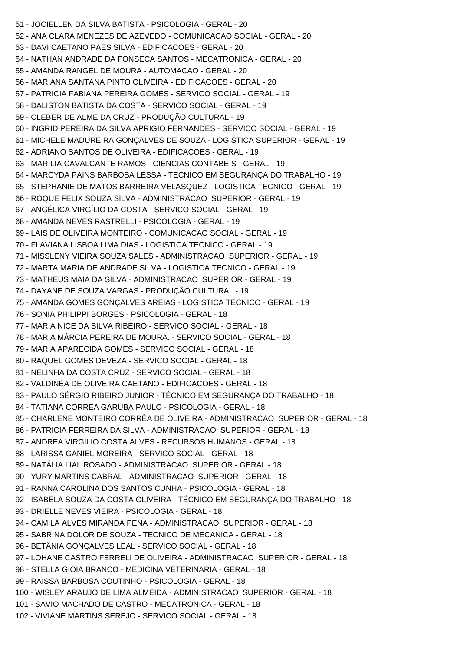```
51 - JOCIELLEN DA SILVA BATISTA - PSICOLOGIA - GERAL - 20
52 - ANA CLARA MENEZES DE AZEVEDO - COMUNICACAO SOCIAL - GERAL - 20
53 - DAVI CAETANO PAES SILVA - EDIFICACOES - GERAL - 20
54 - NATHAN ANDRADE DA FONSECA SANTOS - MECATRONICA - GERAL - 20
55 - AMANDA RANGEL DE MOURA - AUTOMACAO - GERAL - 20
56 - MARIANA SANTANA PINTO OLIVEIRA - EDIFICACOES - GERAL - 20
57 - PATRICIA FABIANA PEREIRA GOMES - SERVICO SOCIAL - GERAL - 19
58 - DALISTON BATISTA DA COSTA - SERVICO SOCIAL - GERAL - 19
59 - CLEBER DE ALMEIDA CRUZ - PRODUÇÃO CULTURAL - 19
60 - INGRID PEREIRA DA SILVA APRIGIO FERNANDES - SERVICO SOCIAL - GERAL - 19
61 - MICHELE MADUREIRA GONÇALVES DE SOUZA - LOGISTICA SUPERIOR - GERAL - 19
62 - ADRIANO SANTOS DE OLIVEIRA - EDIFICACOES - GERAL - 19
63 - MARILIA CAVALCANTE RAMOS - CIENCIAS CONTABEIS - GERAL - 19
64 - MARCYDA PAINS BARBOSA LESSA - TECNICO EM SEGURANÇA DO TRABALHO - 19
65 - STEPHANIE DE MATOS BARREIRA VELASQUEZ - LOGISTICA TECNICO - GERAL - 19
66 - ROQUE FELIX SOUZA SILVA - ADMINISTRACAO SUPERIOR - GERAL - 19
67 - ANGÉLICA VIRGÍLIO DA COSTA - SERVICO SOCIAL - GERAL - 19
68 - AMANDA NEVES RASTRELLI - PSICOLOGIA - GERAL - 19
69 - LAIS DE OLIVEIRA MONTEIRO - COMUNICACAO SOCIAL - GERAL - 19
70 - FLAVIANA LISBOA LIMA DIAS - LOGISTICA TECNICO - GERAL - 19
71 - MISSLENY VIEIRA SOUZA SALES - ADMINISTRACAO SUPERIOR - GERAL - 19
72 - MARTA MARIA DE ANDRADE SILVA - LOGISTICA TECNICO - GERAL - 19
73 - MATHEUS MAIA DA SILVA - ADMINISTRACAO SUPERIOR - GERAL - 19
74 - DAYANE DE SOUZA VARGAS - PRODUÇÃO CULTURAL - 19
75 - AMANDA GOMES GONÇALVES AREIAS - LOGISTICA TECNICO - GERAL - 19
76 - SONIA PHILIPPI BORGES - PSICOLOGIA - GERAL - 18
77 - MARIA NICE DA SILVA RIBEIRO - SERVICO SOCIAL - GERAL - 18
78 - MARIA MÁRCIA PEREIRA DE MOURA. - SERVICO SOCIAL - GERAL - 18
79 - MARIA APARECIDA GOMES - SERVICO SOCIAL - GERAL - 18
80 - RAQUEL GOMES DEVEZA - SERVICO SOCIAL - GERAL - 18
81 - NELINHA DA COSTA CRUZ - SERVICO SOCIAL - GERAL - 18
82 - VALDINÉA DE OLIVEIRA CAETANO - EDIFICACOES - GERAL - 18
83 - PAULO SÉRGIO RIBEIRO JUNIOR - TÉCNICO EM SEGURANÇA DO TRABALHO - 18
84 - TATIANA CORREA GARUBA PAULO - PSICOLOGIA - GERAL - 18
85 - CHARLENE MONTEIRO CORRÊA DE OLIVEIRA - ADMINISTRACAO SUPERIOR - GERAL - 18
86 - PATRICIA FERREIRA DA SILVA - ADMINISTRACAO SUPERIOR - GERAL - 18
87 - ANDREA VIRGILIO COSTA ALVES - RECURSOS HUMANOS - GERAL - 18
88 - LARISSA GANIEL MOREIRA - SERVICO SOCIAL - GERAL - 18
89 - NATÁLIA LIAL ROSADO - ADMINISTRACAO SUPERIOR - GERAL - 18
90 - YURY MARTINS CABRAL - ADMINISTRACAO SUPERIOR - GERAL - 18
91 - RANNA CAROLINA DOS SANTOS CUNHA - PSICOLOGIA - GERAL - 18
92 - ISABELA SOUZA DA COSTA OLIVEIRA - TÉCNICO EM SEGURANÇA DO TRABALHO - 18
93 - DRIELLE NEVES VIEIRA - PSICOLOGIA - GERAL - 18
94 - CAMILA ALVES MIRANDA PENA - ADMINISTRACAO SUPERIOR - GERAL - 18
95 - SABRINA DOLOR DE SOUZA - TECNICO DE MECANICA - GERAL - 18
96 - BETÂNIA GONÇALVES LEAL - SERVICO SOCIAL - GERAL - 18
97 - LOHANE CASTRO FERRELI DE OLIVEIRA - ADMINISTRACAO SUPERIOR - GERAL - 18
98 - STELLA GIOIA BRANCO - MEDICINA VETERINARIA - GERAL - 18
99 - RAISSA BARBOSA COUTINHO - PSICOLOGIA - GERAL - 18
100 - WISLEY ARAUJO DE LIMA ALMEIDA - ADMINISTRACAO SUPERIOR - GERAL - 18
101 - SAVIO MACHADO DE CASTRO - MECATRONICA - GERAL - 18
102 - VIVIANE MARTINS SEREJO - SERVICO SOCIAL - GERAL - 18
```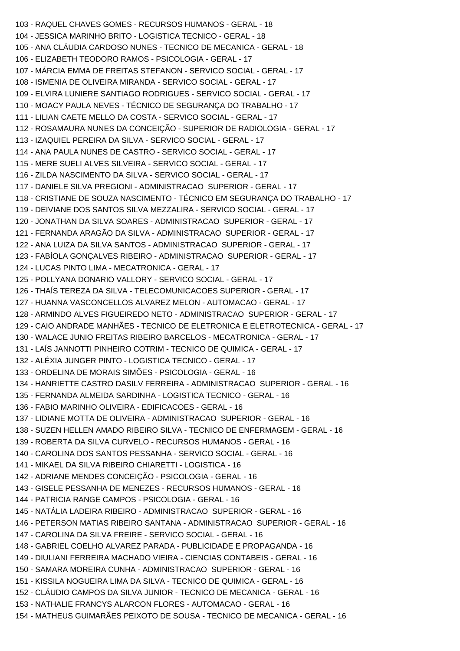103 - RAQUEL CHAVES GOMES - RECURSOS HUMANOS - GERAL - 18 104 - JESSICA MARINHO BRITO - LOGISTICA TECNICO - GERAL - 18 105 - ANA CLÁUDIA CARDOSO NUNES - TECNICO DE MECANICA - GERAL - 18 106 - ELIZABETH TEODORO RAMOS - PSICOLOGIA - GERAL - 17 107 - MÁRCIA EMMA DE FREITAS STEFANON - SERVICO SOCIAL - GERAL - 17 108 - ISMENIA DE OLIVEIRA MIRANDA - SERVICO SOCIAL - GERAL - 17 109 - ELVIRA LUNIERE SANTIAGO RODRIGUES - SERVICO SOCIAL - GERAL - 17 110 - MOACY PAULA NEVES - TÉCNICO DE SEGURANÇA DO TRABALHO - 17 111 - LILIAN CAETE MELLO DA COSTA - SERVICO SOCIAL - GERAL - 17 112 - ROSAMAURA NUNES DA CONCEIÇÃO - SUPERIOR DE RADIOLOGIA - GERAL - 17 113 - IZAQUIEL PEREIRA DA SILVA - SERVICO SOCIAL - GERAL - 17 114 - ANA PAULA NUNES DE CASTRO - SERVICO SOCIAL - GERAL - 17 115 - MERE SUELI ALVES SILVEIRA - SERVICO SOCIAL - GERAL - 17 116 - ZILDA NASCIMENTO DA SILVA - SERVICO SOCIAL - GERAL - 17 117 - DANIELE SILVA PREGIONI - ADMINISTRACAO SUPERIOR - GERAL - 17 118 - CRISTIANE DE SOUZA NASCIMENTO - TÉCNICO EM SEGURANÇA DO TRABALHO - 17 119 - DEIVIANE DOS SANTOS SILVA MEZZALIRA - SERVICO SOCIAL - GERAL - 17 120 - JONATHAN DA SILVA SOARES - ADMINISTRACAO SUPERIOR - GERAL - 17 121 - FERNANDA ARAGÃO DA SILVA - ADMINISTRACAO SUPERIOR - GERAL - 17 122 - ANA LUIZA DA SILVA SANTOS - ADMINISTRACAO SUPERIOR - GERAL - 17 123 - FABÍOLA GONÇALVES RIBEIRO - ADMINISTRACAO SUPERIOR - GERAL - 17 124 - LUCAS PINTO LIMA - MECATRONICA - GERAL - 17 125 - POLLYANA DONARIO VALLORY - SERVICO SOCIAL - GERAL - 17 126 - THAÍS TEREZA DA SILVA - TELECOMUNICACOES SUPERIOR - GERAL - 17 127 - HUANNA VASCONCELLOS ALVAREZ MELON - AUTOMACAO - GERAL - 17 128 - ARMINDO ALVES FIGUEIREDO NETO - ADMINISTRACAO SUPERIOR - GERAL - 17 129 - CAIO ANDRADE MANHÃES - TECNICO DE ELETRONICA E ELETROTECNICA - GERAL - 17 130 - WALACE JUNIO FREITAS RIBEIRO BARCELOS - MECATRONICA - GERAL - 17 131 - LAÍS JANNOTTI PINHEIRO COTRIM - TECNICO DE QUIMICA - GERAL - 17 132 - ALÉXIA JUNGER PINTO - LOGISTICA TECNICO - GERAL - 17 133 - ORDELINA DE MORAIS SIMÕES - PSICOLOGIA - GERAL - 16 134 - HANRIETTE CASTRO DASILV FERREIRA - ADMINISTRACAO SUPERIOR - GERAL - 16 135 - FERNANDA ALMEIDA SARDINHA - LOGISTICA TECNICO - GERAL - 16 136 - FABIO MARINHO OLIVEIRA - EDIFICACOES - GERAL - 16 137 - LIDIANE MOTTA DE OLIVEIRA - ADMINISTRACAO SUPERIOR - GERAL - 16 138 - SUZEN HELLEN AMADO RIBEIRO SILVA - TECNICO DE ENFERMAGEM - GERAL - 16 139 - ROBERTA DA SILVA CURVELO - RECURSOS HUMANOS - GERAL - 16 140 - CAROLINA DOS SANTOS PESSANHA - SERVICO SOCIAL - GERAL - 16 141 - MIKAEL DA SILVA RIBEIRO CHIARETTI - LOGISTICA - 16 142 - ADRIANE MENDES CONCEIÇÃO - PSICOLOGIA - GERAL - 16 143 - GISELE PESSANHA DE MENEZES - RECURSOS HUMANOS - GERAL - 16 144 - PATRICIA RANGE CAMPOS - PSICOLOGIA - GERAL - 16 145 - NATÁLIA LADEIRA RIBEIRO - ADMINISTRACAO SUPERIOR - GERAL - 16 146 - PETERSON MATIAS RIBEIRO SANTANA - ADMINISTRACAO SUPERIOR - GERAL - 16 147 - CAROLINA DA SILVA FREIRE - SERVICO SOCIAL - GERAL - 16 148 - GABRIEL COELHO ALVAREZ PARADA - PUBLICIDADE E PROPAGANDA - 16 149 - DIULIANI FERREIRA MACHADO VIEIRA - CIENCIAS CONTABEIS - GERAL - 16 150 - SAMARA MOREIRA CUNHA - ADMINISTRACAO SUPERIOR - GERAL - 16 151 - KISSILA NOGUEIRA LIMA DA SILVA - TECNICO DE QUIMICA - GERAL - 16 152 - CLÁUDIO CAMPOS DA SILVA JUNIOR - TECNICO DE MECANICA - GERAL - 16 153 - NATHALIE FRANCYS ALARCON FLORES - AUTOMACAO - GERAL - 16 154 - MATHEUS GUIMARÃES PEIXOTO DE SOUSA - TECNICO DE MECANICA - GERAL - 16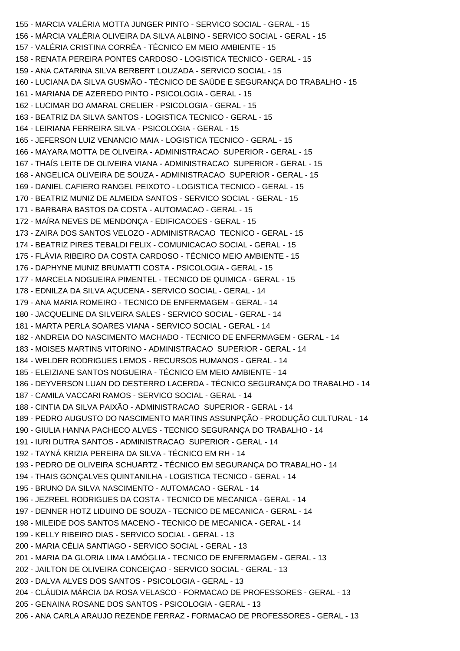155 - MARCIA VALÉRIA MOTTA JUNGER PINTO - SERVICO SOCIAL - GERAL - 15 156 - MÁRCIA VALÉRIA OLIVEIRA DA SILVA ALBINO - SERVICO SOCIAL - GERAL - 15 157 - VALÉRIA CRISTINA CORRÊA - TÉCNICO EM MEIO AMBIENTE - 15 158 - RENATA PEREIRA PONTES CARDOSO - LOGISTICA TECNICO - GERAL - 15 159 - ANA CATARINA SILVA BERBERT LOUZADA - SERVICO SOCIAL - 15 160 - LUCIANA DA SILVA GUSMÃO - TÉCNICO DE SAÚDE E SEGURANÇA DO TRABALHO - 15 161 - MARIANA DE AZEREDO PINTO - PSICOLOGIA - GERAL - 15 162 - LUCIMAR DO AMARAL CRELIER - PSICOLOGIA - GERAL - 15 163 - BEATRIZ DA SILVA SANTOS - LOGISTICA TECNICO - GERAL - 15 164 - LEIRIANA FERREIRA SILVA - PSICOLOGIA - GERAL - 15 165 - JEFERSON LUIZ VENANCIO MAIA - LOGISTICA TECNICO - GERAL - 15 166 - MAYARA MOTTA DE OLIVEIRA - ADMINISTRACAO SUPERIOR - GERAL - 15 167 - THAÍS LEITE DE OLIVEIRA VIANA - ADMINISTRACAO SUPERIOR - GERAL - 15 168 - ANGELICA OLIVEIRA DE SOUZA - ADMINISTRACAO SUPERIOR - GERAL - 15 169 - DANIEL CAFIERO RANGEL PEIXOTO - LOGISTICA TECNICO - GERAL - 15 170 - BEATRIZ MUNIZ DE ALMEIDA SANTOS - SERVICO SOCIAL - GERAL - 15 171 - BARBARA BASTOS DA COSTA - AUTOMACAO - GERAL - 15 172 - MAÍRA NEVES DE MENDONÇA - EDIFICACOES - GERAL - 15 173 - ZAIRA DOS SANTOS VELOZO - ADMINISTRACAO TECNICO - GERAL - 15 174 - BEATRIZ PIRES TEBALDI FELIX - COMUNICACAO SOCIAL - GERAL - 15 175 - FLÁVIA RIBEIRO DA COSTA CARDOSO - TÉCNICO MEIO AMBIENTE - 15 176 - DAPHYNE MUNIZ BRUMATTI COSTA - PSICOLOGIA - GERAL - 15 177 - MARCELA NOGUEIRA PIMENTEL - TECNICO DE QUIMICA - GERAL - 15 178 - EDNILZA DA SILVA AÇUCENA - SERVICO SOCIAL - GERAL - 14 179 - ANA MARIA ROMEIRO - TECNICO DE ENFERMAGEM - GERAL - 14 180 - JACQUELINE DA SILVEIRA SALES - SERVICO SOCIAL - GERAL - 14 181 - MARTA PERLA SOARES VIANA - SERVICO SOCIAL - GERAL - 14 182 - ANDREIA DO NASCIMENTO MACHADO - TECNICO DE ENFERMAGEM - GERAL - 14 183 - MOISES MARTINS VITORINO - ADMINISTRACAO SUPERIOR - GERAL - 14 184 - WELDER RODRIGUES LEMOS - RECURSOS HUMANOS - GERAL - 14 185 - ELEIZIANE SANTOS NOGUEIRA - TÉCNICO EM MEIO AMBIENTE - 14 186 - DEYVERSON LUAN DO DESTERRO LACERDA - TÉCNICO SEGURANÇA DO TRABALHO - 14 187 - CAMILA VACCARI RAMOS - SERVICO SOCIAL - GERAL - 14 188 - CINTIA DA SILVA PAIXÃO - ADMINISTRACAO SUPERIOR - GERAL - 14 189 - PEDRO AUGUSTO DO NASCIMENTO MARTINS ASSUNPÇÃO - PRODUÇÃO CULTURAL - 14 190 - GIULIA HANNA PACHECO ALVES - TECNICO SEGURANÇA DO TRABALHO - 14 191 - IURI DUTRA SANTOS - ADMINISTRACAO SUPERIOR - GERAL - 14 192 - TAYNÁ KRIZIA PEREIRA DA SILVA - TÉCNICO EM RH - 14 193 - PEDRO DE OLIVEIRA SCHUARTZ - TÉCNICO EM SEGURANÇA DO TRABALHO - 14 194 - THAIS GONÇALVES QUINTANILHA - LOGISTICA TECNICO - GERAL - 14 195 - BRUNO DA SILVA NASCIMENTO - AUTOMACAO - GERAL - 14 196 - JEZREEL RODRIGUES DA COSTA - TECNICO DE MECANICA - GERAL - 14 197 - DENNER HOTZ LIDUINO DE SOUZA - TECNICO DE MECANICA - GERAL - 14 198 - MILEIDE DOS SANTOS MACENO - TECNICO DE MECANICA - GERAL - 14 199 - KELLY RIBEIRO DIAS - SERVICO SOCIAL - GERAL - 13 200 - MARIA CÉLIA SANTIAGO - SERVICO SOCIAL - GERAL - 13 201 - MARIA DA GLORIA LIMA LAMÓGLIA - TECNICO DE ENFERMAGEM - GERAL - 13 202 - JAILTON DE OLIVEIRA CONCEIÇAO - SERVICO SOCIAL - GERAL - 13 203 - DALVA ALVES DOS SANTOS - PSICOLOGIA - GERAL - 13 204 - CLÁUDIA MÁRCIA DA ROSA VELASCO - FORMACAO DE PROFESSORES - GERAL - 13 205 - GENAINA ROSANE DOS SANTOS - PSICOLOGIA - GERAL - 13 206 - ANA CARLA ARAUJO REZENDE FERRAZ - FORMACAO DE PROFESSORES - GERAL - 13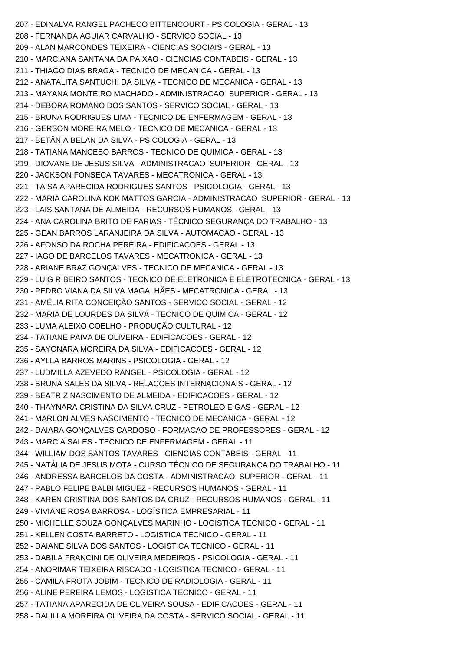207 - EDINALVA RANGEL PACHECO BITTENCOURT - PSICOLOGIA - GERAL - 13 208 - FERNANDA AGUIAR CARVALHO - SERVICO SOCIAL - 13 209 - ALAN MARCONDES TEIXEIRA - CIENCIAS SOCIAIS - GERAL - 13 210 - MARCIANA SANTANA DA PAIXAO - CIENCIAS CONTABEIS - GERAL - 13 211 - THIAGO DIAS BRAGA - TECNICO DE MECANICA - GERAL - 13 212 - ANATALITA SANTUCHI DA SILVA - TECNICO DE MECANICA - GERAL - 13 213 - MAYANA MONTEIRO MACHADO - ADMINISTRACAO SUPERIOR - GERAL - 13 214 - DEBORA ROMANO DOS SANTOS - SERVICO SOCIAL - GERAL - 13 215 - BRUNA RODRIGUES LIMA - TECNICO DE ENFERMAGEM - GERAL - 13 216 - GERSON MOREIRA MELO - TECNICO DE MECANICA - GERAL - 13 217 - BETÂNIA BELAN DA SILVA - PSICOLOGIA - GERAL - 13 218 - TATIANA MANCEBO BARROS - TECNICO DE QUIMICA - GERAL - 13 219 - DIOVANE DE JESUS SILVA - ADMINISTRACAO SUPERIOR - GERAL - 13 220 - JACKSON FONSECA TAVARES - MECATRONICA - GERAL - 13 221 - TAISA APARECIDA RODRIGUES SANTOS - PSICOLOGIA - GERAL - 13 222 - MARIA CAROLINA KOK MATTOS GARCIA - ADMINISTRACAO SUPERIOR - GERAL - 13 223 - LAIS SANTANA DE ALMEIDA - RECURSOS HUMANOS - GERAL - 13 224 - ANA CAROLINA BRITO DE FARIAS - TÉCNICO SEGURANÇA DO TRABALHO - 13 225 - GEAN BARROS LARANJEIRA DA SILVA - AUTOMACAO - GERAL - 13 226 - AFONSO DA ROCHA PEREIRA - EDIFICACOES - GERAL - 13 227 - IAGO DE BARCELOS TAVARES - MECATRONICA - GERAL - 13 228 - ARIANE BRAZ GONÇALVES - TECNICO DE MECANICA - GERAL - 13 229 - LUIG RIBEIRO SANTOS - TECNICO DE ELETRONICA E ELETROTECNICA - GERAL - 13 230 - PEDRO VIANA DA SILVA MAGALHÃES - MECATRONICA - GERAL - 13 231 - AMÉLIA RITA CONCEIÇÃO SANTOS - SERVICO SOCIAL - GERAL - 12 232 - MARIA DE LOURDES DA SILVA - TECNICO DE QUIMICA - GERAL - 12 233 - LUMA ALEIXO COELHO - PRODUÇÃO CULTURAL - 12 234 - TATIANE PAIVA DE OLIVEIRA - EDIFICACOES - GERAL - 12 235 - SAYONARA MOREIRA DA SILVA - EDIFICACOES - GERAL - 12 236 - AYLLA BARROS MARINS - PSICOLOGIA - GERAL - 12 237 - LUDMILLA AZEVEDO RANGEL - PSICOLOGIA - GERAL - 12 238 - BRUNA SALES DA SILVA - RELACOES INTERNACIONAIS - GERAL - 12 239 - BEATRIZ NASCIMENTO DE ALMEIDA - EDIFICACOES - GERAL - 12 240 - THAYNARA CRISTINA DA SILVA CRUZ - PETROLEO E GAS - GERAL - 12 241 - MARLON ALVES NASCIMENTO - TECNICO DE MECANICA - GERAL - 12 242 - DAIARA GONÇALVES CARDOSO - FORMACAO DE PROFESSORES - GERAL - 12 243 - MARCIA SALES - TECNICO DE ENFERMAGEM - GERAL - 11 244 - WILLIAM DOS SANTOS TAVARES - CIENCIAS CONTABEIS - GERAL - 11 245 - NATÁLIA DE JESUS MOTA - CURSO TÉCNICO DE SEGURANÇA DO TRABALHO - 11 246 - ANDRESSA BARCELOS DA COSTA - ADMINISTRACAO SUPERIOR - GERAL - 11 247 - PABLO FELIPE BALBI MIGUEZ - RECURSOS HUMANOS - GERAL - 11 248 - KAREN CRISTINA DOS SANTOS DA CRUZ - RECURSOS HUMANOS - GERAL - 11 249 - VIVIANE ROSA BARROSA - LOGÍSTICA EMPRESARIAL - 11 250 - MICHELLE SOUZA GONÇALVES MARINHO - LOGISTICA TECNICO - GERAL - 11 251 - KELLEN COSTA BARRETO - LOGISTICA TECNICO - GERAL - 11 252 - DAIANE SILVA DOS SANTOS - LOGISTICA TECNICO - GERAL - 11 253 - DABILA FRANCINI DE OLIVEIRA MEDEIROS - PSICOLOGIA - GERAL - 11 254 - ANORIMAR TEIXEIRA RISCADO - LOGISTICA TECNICO - GERAL - 11 255 - CAMILA FROTA JOBIM - TECNICO DE RADIOLOGIA - GERAL - 11 256 - ALINE PEREIRA LEMOS - LOGISTICA TECNICO - GERAL - 11 257 - TATIANA APARECIDA DE OLIVEIRA SOUSA - EDIFICACOES - GERAL - 11 258 - DALILLA MOREIRA OLIVEIRA DA COSTA - SERVICO SOCIAL - GERAL - 11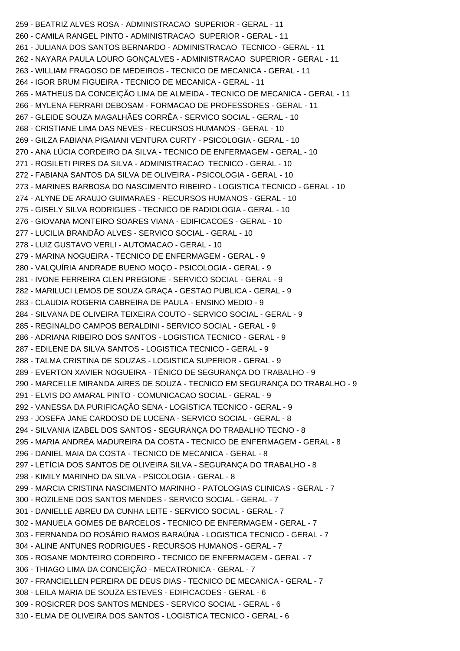259 - BEATRIZ ALVES ROSA - ADMINISTRACAO SUPERIOR - GERAL - 11 260 - CAMILA RANGEL PINTO - ADMINISTRACAO SUPERIOR - GERAL - 11 261 - JULIANA DOS SANTOS BERNARDO - ADMINISTRACAO TECNICO - GERAL - 11 262 - NAYARA PAULA LOURO GONÇALVES - ADMINISTRACAO SUPERIOR - GERAL - 11 263 - WILLIAM FRAGOSO DE MEDEIROS - TECNICO DE MECANICA - GERAL - 11 264 - IGOR BRUM FIGUEIRA - TECNICO DE MECANICA - GERAL - 11 265 - MATHEUS DA CONCEIÇÃO LIMA DE ALMEIDA - TECNICO DE MECANICA - GERAL - 11 266 - MYLENA FERRARI DEBOSAM - FORMACAO DE PROFESSORES - GERAL - 11 267 - GLEIDE SOUZA MAGALHÃES CORRÊA - SERVICO SOCIAL - GERAL - 10 268 - CRISTIANE LIMA DAS NEVES - RECURSOS HUMANOS - GERAL - 10 269 - GILZA FABIANA PIGAIANI VENTURA CURTY - PSICOLOGIA - GERAL - 10 270 - ANA LÚCIA CORDEIRO DA SILVA - TECNICO DE ENFERMAGEM - GERAL - 10 271 - ROSILETI PIRES DA SILVA - ADMINISTRACAO TECNICO - GERAL - 10 272 - FABIANA SANTOS DA SILVA DE OLIVEIRA - PSICOLOGIA - GERAL - 10 273 - MARINES BARBOSA DO NASCIMENTO RIBEIRO - LOGISTICA TECNICO - GERAL - 10 274 - ALYNE DE ARAUJO GUIMARAES - RECURSOS HUMANOS - GERAL - 10 275 - GISELY SILVA RODRIGUES - TECNICO DE RADIOLOGIA - GERAL - 10 276 - GIOVANA MONTEIRO SOARES VIANA - EDIFICACOES - GERAL - 10 277 - LUCILIA BRANDÃO ALVES - SERVICO SOCIAL - GERAL - 10 278 - LUIZ GUSTAVO VERLI - AUTOMACAO - GERAL - 10 279 - MARINA NOGUEIRA - TECNICO DE ENFERMAGEM - GERAL - 9 280 - VALQUÍRIA ANDRADE BUENO MOÇO - PSICOLOGIA - GERAL - 9 281 - IVONE FERREIRA CLEN PREGIONE - SERVICO SOCIAL - GERAL - 9 282 - MARILUCI LEMOS DE SOUZA GRAÇA - GESTAO PUBLICA - GERAL - 9 283 - CLAUDIA ROGERIA CABREIRA DE PAULA - ENSINO MEDIO - 9 284 - SILVANA DE OLIVEIRA TEIXEIRA COUTO - SERVICO SOCIAL - GERAL - 9 285 - REGINALDO CAMPOS BERALDINI - SERVICO SOCIAL - GERAL - 9 286 - ADRIANA RIBEIRO DOS SANTOS - LOGISTICA TECNICO - GERAL - 9 287 - EDILENE DA SILVA SANTOS - LOGISTICA TECNICO - GERAL - 9 288 - TALMA CRISTINA DE SOUZAS - LOGISTICA SUPERIOR - GERAL - 9 289 - EVERTON XAVIER NOGUEIRA - TÉNICO DE SEGURANÇA DO TRABALHO - 9 290 - MARCELLE MIRANDA AIRES DE SOUZA - TECNICO EM SEGURANÇA DO TRABALHO - 9 291 - ELVIS DO AMARAL PINTO - COMUNICACAO SOCIAL - GERAL - 9 292 - VANESSA DA PURIFICAÇÃO SENA - LOGISTICA TECNICO - GERAL - 9 293 - JOSEFA JANE CARDOSO DE LUCENA - SERVICO SOCIAL - GERAL - 8 294 - SILVANIA IZABEL DOS SANTOS - SEGURANÇA DO TRABALHO TECNO - 8 295 - MARIA ANDRÉA MADUREIRA DA COSTA - TECNICO DE ENFERMAGEM - GERAL - 8 296 - DANIEL MAIA DA COSTA - TECNICO DE MECANICA - GERAL - 8 297 - LETÍCIA DOS SANTOS DE OLIVEIRA SILVA - SEGURANÇA DO TRABALHO - 8 298 - KIMILY MARINHO DA SILVA - PSICOLOGIA - GERAL - 8 299 - MARCIA CRISTINA NASCIMENTO MARINHO - PATOLOGIAS CLINICAS - GERAL - 7 300 - ROZILENE DOS SANTOS MENDES - SERVICO SOCIAL - GERAL - 7 301 - DANIELLE ABREU DA CUNHA LEITE - SERVICO SOCIAL - GERAL - 7 302 - MANUELA GOMES DE BARCELOS - TECNICO DE ENFERMAGEM - GERAL - 7 303 - FERNANDA DO ROSÁRIO RAMOS BARAÚNA - LOGISTICA TECNICO - GERAL - 7 304 - ALINE ANTUNES RODRIGUES - RECURSOS HUMANOS - GERAL - 7 305 - ROSANE MONTEIRO CORDEIRO - TECNICO DE ENFERMAGEM - GERAL - 7 306 - THIAGO LIMA DA CONCEIÇÃO - MECATRONICA - GERAL - 7 307 - FRANCIELLEN PEREIRA DE DEUS DIAS - TECNICO DE MECANICA - GERAL - 7 308 - LEILA MARIA DE SOUZA ESTEVES - EDIFICACOES - GERAL - 6 309 - ROSICRER DOS SANTOS MENDES - SERVICO SOCIAL - GERAL - 6 310 - ELMA DE OLIVEIRA DOS SANTOS - LOGISTICA TECNICO - GERAL - 6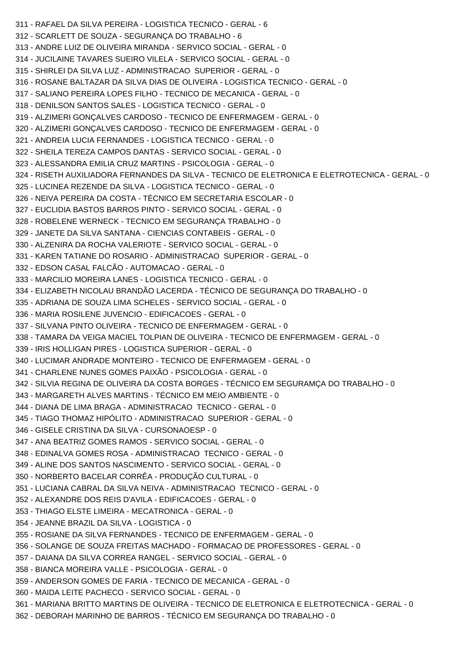```
311 - RAFAEL DA SILVA PEREIRA - LOGISTICA TECNICO - GERAL - 6
312 - SCARLETT DE SOUZA - SEGURANÇA DO TRABALHO - 6
313 - ANDRE LUIZ DE OLIVEIRA MIRANDA - SERVICO SOCIAL - GERAL - 0
314 - JUCILAINE TAVARES SUEIRO VILELA - SERVICO SOCIAL - GERAL - 0
315 - SHIRLEI DA SILVA LUZ - ADMINISTRACAO SUPERIOR - GERAL - 0
316 - ROSANE BALTAZAR DA SILVA DIAS DE OLIVEIRA - LOGISTICA TECNICO - GERAL - 0
317 - SALIANO PEREIRA LOPES FILHO - TECNICO DE MECANICA - GERAL - 0
318 - DENILSON SANTOS SALES - LOGISTICA TECNICO - GERAL - 0
319 - ALZIMERI GONÇALVES CARDOSO - TECNICO DE ENFERMAGEM - GERAL - 0
320 - ALZIMERI GONÇALVES CARDOSO - TECNICO DE ENFERMAGEM - GERAL - 0
321 - ANDREIA LUCIA FERNANDES - LOGISTICA TECNICO - GERAL - 0
322 - SHEILA TEREZA CAMPOS DANTAS - SERVICO SOCIAL - GERAL - 0
323 - ALESSANDRA EMILIA CRUZ MARTINS - PSICOLOGIA - GERAL - 0
324 - RISETH AUXILIADORA FERNANDES DA SILVA - TECNICO DE ELETRONICA E ELETROTECNICA - GERAL - 0
325 - LUCINEA REZENDE DA SILVA - LOGISTICA TECNICO - GERAL - 0
326 - NEIVA PEREIRA DA COSTA - TÈCNICO EM SECRETARIA ESCOLAR - 0
327 - EUCLIDIA BASTOS BARROS PINTO - SERVICO SOCIAL - GERAL - 0
328 - ROBELENE WERNECK - TECNICO EM SEGURANÇA TRABALHO - 0
329 - JANETE DA SILVA SANTANA - CIENCIAS CONTABEIS - GERAL - 0
330 - ALZENIRA DA ROCHA VALERIOTE - SERVICO SOCIAL - GERAL - 0
331 - KAREN TATIANE DO ROSARIO - ADMINISTRACAO SUPERIOR - GERAL - 0
332 - EDSON CASAL FALCÃO - AUTOMACAO - GERAL - 0
333 - MARCILIO MOREIRA LANES - LOGISTICA TECNICO - GERAL - 0
334 - ELIZABETH NICOLAU BRANDÃO LACERDA - TÉCNICO DE SEGURANÇA DO TRABALHO - 0
335 - ADRIANA DE SOUZA LIMA SCHELES - SERVICO SOCIAL - GERAL - 0
336 - MARIA ROSILENE JUVENCIO - EDIFICACOES - GERAL - 0
337 - SILVANA PINTO OLIVEIRA - TECNICO DE ENFERMAGEM - GERAL - 0
338 - TAMARA DA VEIGA MACIEL TOLPIAN DE OLIVEIRA - TECNICO DE ENFERMAGEM - GERAL - 0
339 - IRIS HOLLIGAN PIRES - LOGISTICA SUPERIOR - GERAL - 0
340 - LUCIMAR ANDRADE MONTEIRO - TECNICO DE ENFERMAGEM - GERAL - 0
341 - CHARLENE NUNES GOMES PAIXÃO - PSICOLOGIA - GERAL - 0
342 - SILVIA REGINA DE OLIVEIRA DA COSTA BORGES - TÉCNICO EM SEGURAMÇA DO TRABALHO - 0
343 - MARGARETH ALVES MARTINS - TÉCNICO EM MEIO AMBIENTE - 0
344 - DIANA DE LIMA BRAGA - ADMINISTRACAO TECNICO - GERAL - 0
345 - TIAGO THOMAZ HIPÓLITO - ADMINISTRACAO SUPERIOR - GERAL - 0
346 - GISELE CRISTINA DA SILVA - CURSONAOESP - 0
347 - ANA BEATRIZ GOMES RAMOS - SERVICO SOCIAL - GERAL - 0
348 - EDINALVA GOMES ROSA - ADMINISTRACAO TECNICO - GERAL - 0
349 - ALINE DOS SANTOS NASCIMENTO - SERVICO SOCIAL - GERAL - 0
350 - NORBERTO BACELAR CORRÊA - PRODUÇÃO CULTURAL - 0
351 - LUCIANA CABRAL DA SILVA NEIVA - ADMINISTRACAO TECNICO - GERAL - 0
352 - ALEXANDRE DOS REIS D'AVILA - EDIFICACOES - GERAL - 0
353 - THIAGO ELSTE LIMEIRA - MECATRONICA - GERAL - 0
354 - JEANNE BRAZIL DA SILVA - LOGISTICA - 0
355 - ROSIANE DA SILVA FERNANDES - TECNICO DE ENFERMAGEM - GERAL - 0
356 - SOLANGE DE SOUZA FREITAS MACHADO - FORMACAO DE PROFESSORES - GERAL - 0
357 - DAIANA DA SILVA CORREA RANGEL - SERVICO SOCIAL - GERAL - 0
358 - BIANCA MOREIRA VALLE - PSICOLOGIA - GERAL - 0
359 - ANDERSON GOMES DE FARIA - TECNICO DE MECANICA - GERAL - 0
360 - MAIDA LEITE PACHECO - SERVICO SOCIAL - GERAL - 0
361 - MARIANA BRITTO MARTINS DE OLIVEIRA - TECNICO DE ELETRONICA E ELETROTECNICA - GERAL - 0
362 - DEBORAH MARINHO DE BARROS - TÉCNICO EM SEGURANÇA DO TRABALHO - 0
```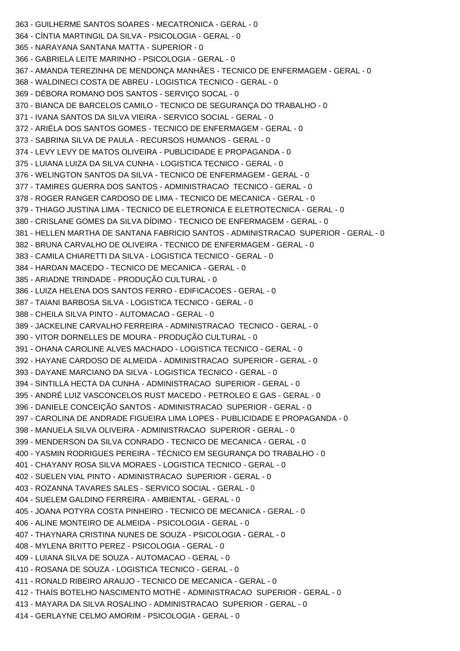363 - GUILHERME SANTOS SOARES - MECATRONICA - GERAL - 0 364 - CÍNTIA MARTINGIL DA SILVA - PSICOLOGIA - GERAL - 0 365 - NARAYANA SANTANA MATTA - SUPERIOR - 0 366 - GABRIELA LEITE MARINHO - PSICOLOGIA - GERAL - 0 367 - AMANDA TEREZINHA DE MENDONÇA MANHÃES - TECNICO DE ENFERMAGEM - GERAL - 0 368 - WALDINECI COSTA DE ABREU - LOGISTICA TECNICO - GERAL - 0 369 - DÉBORA ROMANO DOS SANTOS - SERVIÇO SOCAL - 0 370 - BIANCA DE BARCELOS CAMILO - TECNICO DE SEGURANÇA DO TRABALHO - 0 371 - IVANA SANTOS DA SILVA VIEIRA - SERVICO SOCIAL - GERAL - 0 372 - ARIÉLA DOS SANTOS GOMES - TECNICO DE ENFERMAGEM - GERAL - 0 373 - SABRINA SILVA DE PAULA - RECURSOS HUMANOS - GERAL - 0 374 - LEVY LEVY DE MATOS OLIVEIRA - PUBLICIDADE E PROPAGANDA - 0 375 - LUIANA LUIZA DA SILVA CUNHA - LOGISTICA TECNICO - GERAL - 0 376 - WELINGTON SANTOS DA SILVA - TECNICO DE ENFERMAGEM - GERAL - 0 377 - TAMIRES GUERRA DOS SANTOS - ADMINISTRACAO TECNICO - GERAL - 0 378 - ROGER RANGER CARDOSO DE LIMA - TECNICO DE MECANICA - GERAL - 0 379 - THIAGO JUSTINA LIMA - TECNICO DE ELETRONICA E ELETROTECNICA - GERAL - 0 380 - CRISLANE GOMES DA SILVA DÍDIMO - TECNICO DE ENFERMAGEM - GERAL - 0 381 - HELLEN MARTHA DE SANTANA FABRICIO SANTOS - ADMINISTRACAO SUPERIOR - GERAL - 0 382 - BRUNA CARVALHO DE OLIVEIRA - TECNICO DE ENFERMAGEM - GERAL - 0 383 - CAMILA CHIARETTI DA SILVA - LOGISTICA TECNICO - GERAL - 0 384 - HARDAN MACEDO - TECNICO DE MECANICA - GERAL - 0 385 - ARIADNE TRINDADE - PRODUÇÃO CULTURAL - 0 386 - LUIZA HELENA DOS SANTOS FERRO - EDIFICACOES - GERAL - 0 387 - TAIANI BARBOSA SILVA - LOGISTICA TECNICO - GERAL - 0 388 - CHEILA SILVA PINTO - AUTOMACAO - GERAL - 0 389 - JACKELINE CARVALHO FERREIRA - ADMINISTRACAO TECNICO - GERAL - 0 390 - VITOR DORNELLES DE MOURA - PRODUÇÃO CULTURAL - 0 391 - OHANA CAROLINE ALVES MACHADO - LOGISTICA TECNICO - GERAL - 0 392 - HAYANE CARDOSO DE ALMEIDA - ADMINISTRACAO SUPERIOR - GERAL - 0 393 - DAYANE MARCIANO DA SILVA - LOGISTICA TECNICO - GERAL - 0 394 - SINTILLA HECTA DA CUNHA - ADMINISTRACAO SUPERIOR - GERAL - 0 395 - ANDRÉ LUIZ VASCONCELOS RUST MACEDO - PETROLEO E GAS - GERAL - 0 396 - DANIELE CONCEIÇÃO SANTOS - ADMINISTRACAO SUPERIOR - GERAL - 0 397 - CAROLINA DE ANDRADE FIGUEIRA LIMA LOPES - PUBLICIDADE E PROPAGANDA - 0 398 - MANUELA SILVA OLIVEIRA - ADMINISTRACAO SUPERIOR - GERAL - 0 399 - MENDERSON DA SILVA CONRADO - TECNICO DE MECANICA - GERAL - 0 400 - YASMIN RODRIGUES PEREIRA - TÉCNICO EM SEGURANÇA DO TRABALHO - 0 401 - CHAYANY ROSA SILVA MORAES - LOGISTICA TECNICO - GERAL - 0 402 - SUELEN VIAL PINTO - ADMINISTRACAO SUPERIOR - GERAL - 0 403 - ROZANNA TAVARES SALES - SERVICO SOCIAL - GERAL - 0 404 - SUELEM GALDINO FERREIRA - AMBIENTAL - GERAL - 0 405 - JOANA POTYRA COSTA PINHEIRO - TECNICO DE MECANICA - GERAL - 0 406 - ALINE MONTEIRO DE ALMEIDA - PSICOLOGIA - GERAL - 0 407 - THAYNARA CRISTINA NUNES DE SOUZA - PSICOLOGIA - GERAL - 0 408 - MYLENA BRITTO PEREZ - PSICOLOGIA - GERAL - 0 409 - LUIANA SILVA DE SOUZA - AUTOMACAO - GERAL - 0 410 - ROSANA DE SOUZA - LOGISTICA TECNICO - GERAL - 0 411 - RONALD RIBEIRO ARAUJO - TECNICO DE MECANICA - GERAL - 0 412 - THAÍS BOTELHO NASCIMENTO MOTHÉ - ADMINISTRACAO SUPERIOR - GERAL - 0 413 - MAYARA DA SILVA ROSALINO - ADMINISTRACAO SUPERIOR - GERAL - 0 414 - GERLAYNE CELMO AMORIM - PSICOLOGIA - GERAL - 0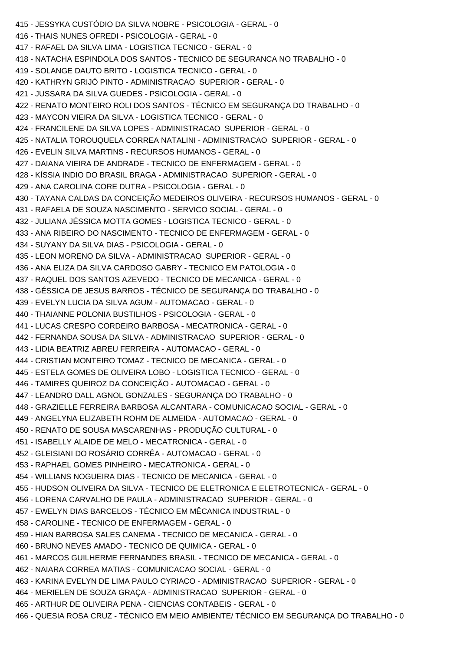```
415 - JESSYKA CUSTÓDIO DA SILVA NOBRE - PSICOLOGIA - GERAL - 0
416 - THAIS NUNES OFREDI - PSICOLOGIA - GERAL - 0
417 - RAFAEL DA SILVA LIMA - LOGISTICA TECNICO - GERAL - 0
418 - NATACHA ESPINDOLA DOS SANTOS - TECNICO DE SEGURANCA NO TRABALHO - 0
419 - SOLANGE DAUTO BRITO - LOGISTICA TECNICO - GERAL - 0
420 - KATHRYN GRIJÓ PINTO - ADMINISTRACAO SUPERIOR - GERAL - 0
421 - JUSSARA DA SILVA GUEDES - PSICOLOGIA - GERAL - 0
422 - RENATO MONTEIRO ROLI DOS SANTOS - TÉCNICO EM SEGURANÇA DO TRABALHO - 0
423 - MAYCON VIEIRA DA SILVA - LOGISTICA TECNICO - GERAL - 0
424 - FRANCILENE DA SILVA LOPES - ADMINISTRACAO SUPERIOR - GERAL - 0
425 - NATALIA TOROUQUELA CORREA NATALINI - ADMINISTRACAO SUPERIOR - GERAL - 0
426 - EVELIN SILVA MARTINS - RECURSOS HUMANOS - GERAL - 0
427 - DAIANA VIEIRA DE ANDRADE - TECNICO DE ENFERMAGEM - GERAL - 0
428 - KÍSSIA INDIO DO BRASIL BRAGA - ADMINISTRACAO SUPERIOR - GERAL - 0
429 - ANA CAROLINA CORE DUTRA - PSICOLOGIA - GERAL - 0
430 - TAYANA CALDAS DA CONCEIÇÃO MEDEIROS OLIVEIRA - RECURSOS HUMANOS - GERAL - 0
431 - RAFAELA DE SOUZA NASCIMENTO - SERVICO SOCIAL - GERAL - 0
432 - JULIANA JÉSSICA MOTTA GOMES - LOGISTICA TECNICO - GERAL - 0
433 - ANA RIBEIRO DO NASCIMENTO - TECNICO DE ENFERMAGEM - GERAL - 0
434 - SUYANY DA SILVA DIAS - PSICOLOGIA - GERAL - 0
435 - LEON MORENO DA SILVA - ADMINISTRACAO SUPERIOR - GERAL - 0
436 - ANA ELIZA DA SILVA CARDOSO GABRY - TECNICO EM PATOLOGIA - 0
437 - RAQUEL DOS SANTOS AZEVEDO - TECNICO DE MECANICA - GERAL - 0
438 - GÉSSICA DE JESUS BARROS - TÉCNICO DE SEGURANÇA DO TRABALHO - 0
439 - EVELYN LUCIA DA SILVA AGUM - AUTOMACAO - GERAL - 0
440 - THAIANNE POLONIA BUSTILHOS - PSICOLOGIA - GERAL - 0
441 - LUCAS CRESPO CORDEIRO BARBOSA - MECATRONICA - GERAL - 0
442 - FERNANDA SOUSA DA SILVA - ADMINISTRACAO SUPERIOR - GERAL - 0
443 - LIDIA BEATRIZ ABREU FERREIRA - AUTOMACAO - GERAL - 0
444 - CRISTIAN MONTEIRO TOMAZ - TECNICO DE MECANICA - GERAL - 0
445 - ESTELA GOMES DE OLIVEIRA LOBO - LOGISTICA TECNICO - GERAL - 0
446 - TAMIRES QUEIROZ DA CONCEIÇÃO - AUTOMACAO - GERAL - 0
447 - LEANDRO DALL AGNOL GONZALES - SEGURANÇA DO TRABALHO - 0
448 - GRAZIELLE FERREIRA BARBOSA ALCANTARA - COMUNICACAO SOCIAL - GERAL - 0
449 - ANGELYNA ELIZABETH ROHM DE ALMEIDA - AUTOMACAO - GERAL - 0
450 - RENATO DE SOUSA MASCARENHAS - PRODUÇÃO CULTURAL - 0
451 - ISABELLY ALAIDE DE MELO - MECATRONICA - GERAL - 0
452 - GLEISIANI DO ROSÁRIO CORRÊA - AUTOMACAO - GERAL - 0
453 - RAPHAEL GOMES PINHEIRO - MECATRONICA - GERAL - 0
454 - WILLIANS NOGUEIRA DIAS - TECNICO DE MECANICA - GERAL - 0
455 - HUDSON OLIVEIRA DA SILVA - TECNICO DE ELETRONICA E ELETROTECNICA - GERAL - 0
456 - LORENA CARVALHO DE PAULA - ADMINISTRACAO SUPERIOR - GERAL - 0
457 - EWELYN DIAS BARCELOS - TÉCNICO EM MÊCANICA INDUSTRIAL - 0
458 - CAROLINE - TECNICO DE ENFERMAGEM - GERAL - 0
459 - HIAN BARBOSA SALES CANEMA - TECNICO DE MECANICA - GERAL - 0
460 - BRUNO NEVES AMADO - TECNICO DE QUIMICA - GERAL - 0
461 - MARCOS GUILHERME FERNANDES BRASIL - TECNICO DE MECANICA - GERAL - 0
462 - NAIARA CORREA MATIAS - COMUNICACAO SOCIAL - GERAL - 0
463 - KARINA EVELYN DE LIMA PAULO CYRIACO - ADMINISTRACAO SUPERIOR - GERAL - 0
464 - MERIELEN DE SOUZA GRAÇA - ADMINISTRACAO SUPERIOR - GERAL - 0
465 - ARTHUR DE OLIVEIRA PENA - CIENCIAS CONTABEIS - GERAL - 0
466 - QUESIA ROSA CRUZ - TÉCNICO EM MEIO AMBIENTE/ TÉCNICO EM SEGURANÇA DO TRABALHO - 0
```